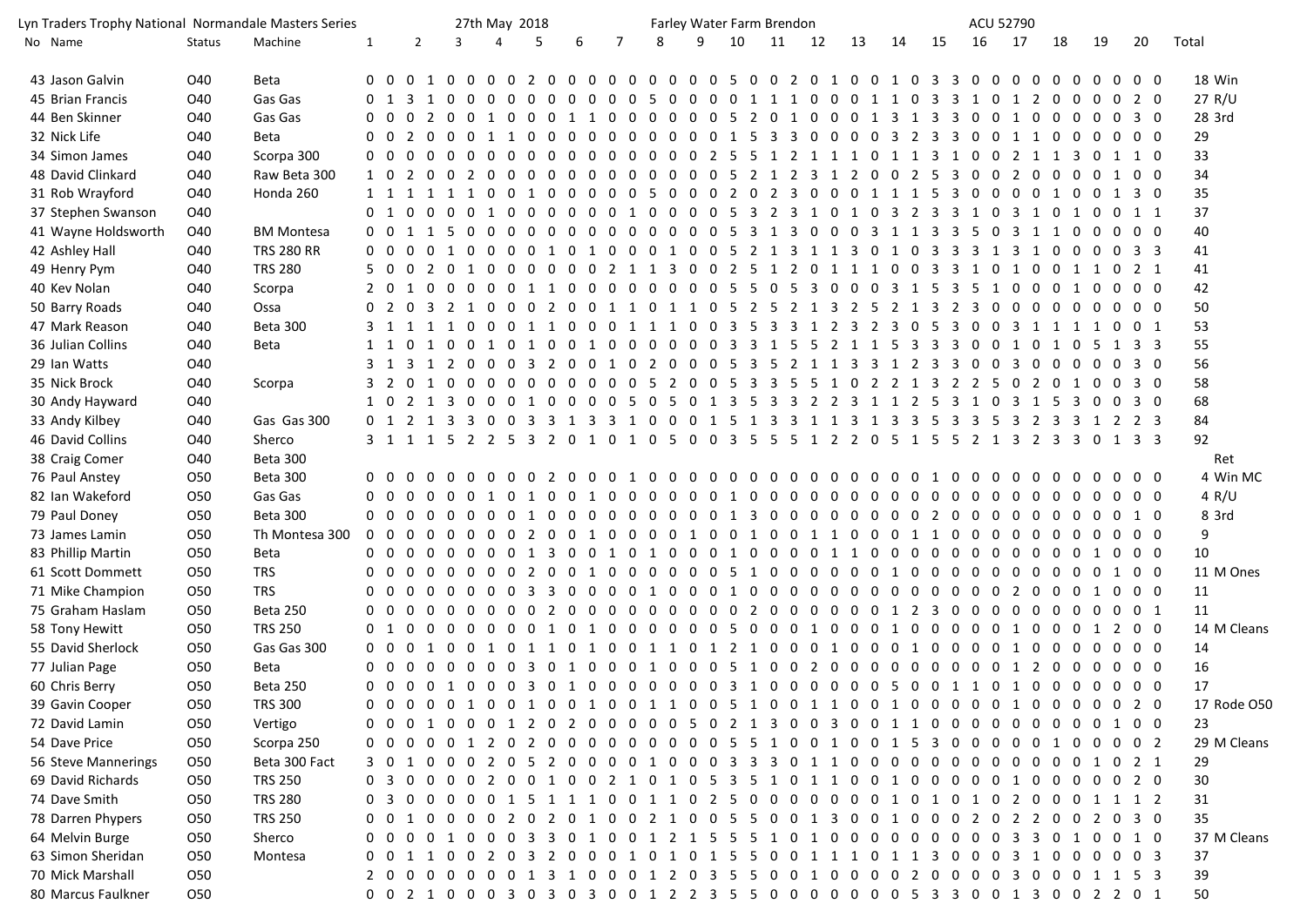| Lyn Traders Trophy National Normandale Masters Series |               |                   |              |                   |                |          | 27th May 2018                                                                     |   |            |     |     |                 |                |   |   | Farley Water Farm Brendon                             |    |    |    |            |    | ACU 52790           |    |                                 |                |                |                                 |            |             |
|-------------------------------------------------------|---------------|-------------------|--------------|-------------------|----------------|----------|-----------------------------------------------------------------------------------|---|------------|-----|-----|-----------------|----------------|---|---|-------------------------------------------------------|----|----|----|------------|----|---------------------|----|---------------------------------|----------------|----------------|---------------------------------|------------|-------------|
| No Name                                               | <b>Status</b> | Machine           | $\mathbf{1}$ |                   | $\overline{2}$ |          | $\overline{3}$                                                                    |   | 4          | 5   | 6   | $7\overline{ }$ |                | 8 | 9 | 10                                                    | 11 | 12 | 13 | 14         | 15 | 16                  | 17 | 18                              |                | 19             |                                 | 20         | Total       |
| 43 Jason Galvin                                       | O40           | <b>Beta</b>       |              |                   |                |          | 0 0 0 1 0 0 0 0 2 0 0 0 0 0 0 0 0 0 5 0 0 2 0 1 0 0 1 0 3 3 0 0 0 0 0 0 0         |   |            |     |     |                 |                |   |   |                                                       |    |    |    |            |    |                     |    |                                 |                |                | $0\quad 0\quad 0$               |            | 18 Win      |
| 45 Brian Francis                                      | O40           | Gas Gas           |              |                   |                |          | റ                                                                                 | 0 | $\Omega$   | 0 O | 0 O | . റ             | 0 <sub>5</sub> |   |   | 0 0 0 0 1 1 1 0 0 0 1 1 0 3 3 1 0 1 2 0               |    |    |    |            |    |                     |    |                                 |                |                | $\Omega$                        | 2 0        | 27 R/U      |
| 44 Ben Skinner                                        | O40           | Gas Gas           |              |                   |                |          | 0 0 0 2 0 0 1 0 0 0 1 1 0 0 0 0 0 0 5 2 0 1 0 0 0 1 3 1 3 3 0 0 1 0 0 0 0 0 3 0   |   |            |     |     |                 |                |   |   |                                                       |    |    |    |            |    |                     |    |                                 |                |                |                                 |            | 28 3rd      |
| 32 Nick Life                                          | O40           | <b>Beta</b>       |              |                   |                |          | 0 0 2 0 0 0 1 1 0 0 0 0 0                                                         |   |            |     |     |                 |                |   |   | 0 0 0 0 0 1 5 3 3 0 0 0 0 3 2 3 3 0 0 1 1 0 0 0 0 0 0 |    |    |    |            |    |                     |    |                                 |                |                |                                 |            | 29          |
| 34 Simon James                                        | O40           | Scorpa 300        |              |                   |                |          | 0 0 0 0 0 0 0 0 0 0 0 0 0 0 0 0 2 5 5 1 2 1 1 1 0 1 1 3 1 0 0 2 1 1 3 0 1 1 0     |   |            |     |     |                 |                |   |   |                                                       |    |    |    |            |    |                     |    |                                 |                |                |                                 |            | 33          |
| 48 David Clinkard                                     | O40           | Raw Beta 300      |              |                   |                |          | 1 0 2 0 0 2 0 0 0 0 0 0 0 0 0 0 0 0 5 2 1 2 3 1 2 0 0 2 5 3 0 0 2 0 0 0 0 1 0 0   |   |            |     |     |                 |                |   |   |                                                       |    |    |    |            |    |                     |    |                                 |                |                |                                 |            | 34          |
| 31 Rob Wrayford                                       | O40           | Honda 260         |              |                   |                |          | 1 1 1 1 1 1 0 0 1 0 0 0 0 0 5 0 0 0 2 0 2 3 0 0 0 1 1 1 5 3 0 0 0 0 1 0 0 1 3 0   |   |            |     |     |                 |                |   |   |                                                       |    |    |    |            |    |                     |    |                                 |                |                |                                 |            | 35          |
| 37 Stephen Swanson                                    | O40           |                   |              |                   |                |          | 0 1 0 0 0 0 1 0 0 0 0 0 0 1 0 0 0 0 5 3 2 3 1 0 1 0 3 2 3 3 1 0 3 1 0 1 0 0 1 1   |   |            |     |     |                 |                |   |   |                                                       |    |    |    |            |    |                     |    |                                 |                |                |                                 |            | 37          |
| 41 Wayne Holdsworth                                   | O40           | <b>BM Montesa</b> |              |                   |                |          | 0 0 1 1 5 0 0 0 0 0 0 0 0 0 0 0 0 5 3 1 3 0 0 0 3 1 1 3 3 5 0 3 1 1 0 0 0 0 0     |   |            |     |     |                 |                |   |   |                                                       |    |    |    |            |    |                     |    |                                 |                |                |                                 |            | 40          |
| 42 Ashley Hall                                        | O40           | <b>TRS 280 RR</b> |              | $0\quad 0\quad 0$ |                |          | 0 1 0 0 0 0 1 0 1 0 0 0 1 0 0 5 2 1 3 1 1 3 0 1 0 3 3 3 1 3 1 0 0 0 0 3 3         |   |            |     |     |                 |                |   |   |                                                       |    |    |    |            |    |                     |    |                                 |                |                |                                 |            | 41          |
| 49 Henry Pym                                          | O40           | <b>TRS 280</b>    |              |                   |                |          | 5 0 0 2 0 1 0 0 0 0 0 0 2 1 1 3 0 0 2 5 1 2 0 1 1 1 0 0 3 3 1 0 1 0 0 1 1 0 2 1   |   |            |     |     |                 |                |   |   |                                                       |    |    |    |            |    |                     |    |                                 |                |                |                                 |            | 41          |
| 40 Kev Nolan                                          | O40           | Scorpa            |              |                   |                |          | 2 0 1 0 0 0 0 0 1 1 0 0 0 0 0 0 0 0 5 5 0 5 3 0 0 0 3 1 5 3 5 1 0 0 0 1 0 0       |   |            |     |     |                 |                |   |   |                                                       |    |    |    |            |    |                     |    |                                 |                |                |                                 | $0\quad 0$ | 42          |
| 50 Barry Roads                                        | O40           | Ossa              |              |                   |                |          | 0 2 0 3 2 1 0 0 0 2 0 0 1 1 0 1 1 0 5 2 5 2 1 3 2 5 2 1 3 2 3 0 0 0 0 0 0 0 0 0 0 |   |            |     |     |                 |                |   |   |                                                       |    |    |    |            |    |                     |    |                                 |                |                |                                 |            | 50          |
| 47 Mark Reason                                        | O40           | Beta 300          |              |                   |                |          | 3 1 1 1 1 0 0 0 1 1 0 0 0 1 1 1 0 0 3 5 3 3 1 2 3 2 3 0 5 3 0 0 3 1 1 1 1 0 0 1   |   |            |     |     |                 |                |   |   |                                                       |    |    |    |            |    |                     |    |                                 |                |                |                                 |            | 53          |
| 36 Julian Collins                                     | O40           | <b>Beta</b>       |              |                   |                |          | 1 1 0 1 0 0 1 0 1 0 0 1 0 0 0 0 0 0 3 3 1 5 5 2 1 1 5 3 3 3 0 0 1 0 1 0 5         |   |            |     |     |                 |                |   |   |                                                       |    |    |    |            |    |                     |    |                                 |                |                | 1 3 3                           |            | 55          |
| 29 Ian Watts                                          | O40           |                   |              |                   |                |          | 3 1 3 1 2 0 0 0 3 2 0 0 1 0 2 0 0 0 5 3 5 2 1 1 3 3 1 2 3 3 0 0 3 0 0 0 0 0 3 0   |   |            |     |     |                 |                |   |   |                                                       |    |    |    |            |    |                     |    |                                 |                |                |                                 |            | 56          |
| 35 Nick Brock                                         | O40           | Scorpa            |              |                   |                |          | 3 2 0 1 0 0 0 0 0 0 0 0 0                                                         |   |            |     |     |                 | 0 <sub>5</sub> |   |   | 2 0 0 5 3 3 5 5 1 0 2 2 1 3 2 2 5                     |    |    |    |            |    |                     |    | 0 2 0 1 0 0 3 0                 |                |                |                                 |            | 58          |
| 30 Andy Hayward                                       | O40           |                   |              |                   |                |          | 1 0 2 1 3 0 0 0 1 0 0 0 0 5 0 5 0 1 3 5 3 3 2 2 3 1 1 2 5 3 1 0 3 1 5 3 0 0 3 0   |   |            |     |     |                 |                |   |   |                                                       |    |    |    |            |    |                     |    |                                 |                |                |                                 |            | 68          |
| 33 Andy Kilbey                                        | O40           | Gas Gas 300       |              |                   |                |          | 0 1 2 1 3 3 0 0 3 3 1 3 3 1 0 0 0 1 5 1 3 3 1 1 3 1 3 3 5 3 3 5 3 2 3 3 1 2 2 3   |   |            |     |     |                 |                |   |   |                                                       |    |    |    |            |    |                     |    |                                 |                |                |                                 |            | 84          |
| 46 David Collins                                      | O40           | Sherco            |              |                   |                |          | 3 1 1 1 5 2 2 5 3 2 0 1 0 1 0 5 0 0 3 5 5 5 1 2 2 0 5 1 5 5 2 1 3 2 3 3 0 1 3 3   |   |            |     |     |                 |                |   |   |                                                       |    |    |    |            |    |                     |    |                                 |                |                |                                 |            | 92          |
| 38 Craig Comer                                        | O40           | Beta 300          |              |                   |                |          |                                                                                   |   |            |     |     |                 |                |   |   |                                                       |    |    |    |            |    |                     |    |                                 |                |                |                                 |            | Ret         |
| 76 Paul Anstey                                        | O50           | Beta 300          |              | 0 O               | - 0            | $\Omega$ | 00                                                                                |   | 0 O        |     |     | 0 2 0 0 0 1 0   |                |   |   | $0\quad 0\quad 0\quad 0\quad 0$                       |    |    |    | 0000000010 |    | 0 O                 |    | $0\quad 0\quad 0$               | $\Omega$       | $\Omega$       | $0\quad 0\quad 0$               |            | 4 Win MC    |
| 82 Ian Wakeford                                       | O50           | Gas Gas           |              | $0\quad 0\quad 0$ |                |          |                                                                                   |   |            |     |     |                 |                |   |   |                                                       |    |    |    |            |    |                     |    |                                 |                |                |                                 |            | 4 R/U       |
| 79 Paul Doney                                         | O50           | Beta 300          |              | $0\quad 0$        | $\Omega$       |          |                                                                                   |   |            |     |     |                 |                |   |   |                                                       |    |    |    |            |    |                     |    |                                 | $\overline{0}$ | $\overline{0}$ | $0\quad1\quad0$                 |            | 8 3rd       |
| 73 James Lamin                                        | O50           | Th Montesa 300    | $0\quad 0$   |                   | $\Omega$       | $\Omega$ | $0\quad 0$                                                                        |   |            |     |     |                 |                |   |   | 0 0 2 0 0 1 0 0 0 0 1 0 0 1 0 0 1 1 0 0 0 1 1 0       |    |    |    |            |    | $0\quad 0$          |    | $0\quad 0\quad 0$               | $\overline{0}$ | $\overline{0}$ | $0\quad 0\quad 0$               |            | 9           |
| 83 Phillip Martin                                     | O50           | Beta              |              |                   |                |          | 0 <sub>0</sub>                                                                    |   | $0\quad 0$ |     |     |                 |                |   |   |                                                       |    |    |    |            |    | $0\quad 0$          |    | $0\quad 0\quad 0$               |                |                | $0\quad 1\quad 0\quad 0\quad 0$ |            | 10          |
| 61 Scott Dommett                                      | O50           | <b>TRS</b>        |              |                   |                |          |                                                                                   |   |            |     |     |                 |                |   |   |                                                       |    |    |    |            |    |                     |    | $0\quad 0\quad 0\quad 0\quad 0$ |                |                | 1                               | $0\quad 0$ | 11 M Ones   |
| 71 Mike Champion                                      | O50           | <b>TRS</b>        |              | $\Omega$          |                |          |                                                                                   |   |            |     |     |                 |                |   |   |                                                       |    |    |    |            |    |                     |    |                                 |                |                |                                 |            | 11          |
| 75 Graham Haslam                                      | O50           | Beta 250          |              | $0\quad 0$        |                |          |                                                                                   |   |            |     |     |                 |                |   |   |                                                       |    |    |    |            |    |                     |    |                                 |                |                |                                 |            | 11          |
| 58 Tony Hewitt                                        | 050           | <b>TRS 250</b>    |              | 0 <sub>1</sub>    | $\Omega$       |          | 0 0 0 0 0 0 1 0 1 0 0 0 0 0 0 5 0 0 0 1 0 0 0 1 0 0 0                             |   |            |     |     |                 |                |   |   |                                                       |    |    |    |            |    | 0 0 1 0 0 0 1 2 0 0 |    |                                 |                |                |                                 |            | 14 M Cleans |
| 55 David Sherlock                                     | O50           | Gas Gas 300       | $0\quad 0$   |                   |                |          |                                                                                   |   |            |     |     |                 |                |   |   |                                                       |    |    |    |            |    |                     |    |                                 |                |                |                                 |            | 14          |
| 77 Julian Page                                        | O50           | Beta              |              | 0 <sub>0</sub>    | $\Omega$       |          | 0000030100010005100200000000012000000                                             |   |            |     |     |                 |                |   |   |                                                       |    |    |    |            |    |                     |    |                                 |                |                |                                 |            | 16          |
| 60 Chris Berry                                        | O50           | Beta 250          |              |                   |                |          |                                                                                   |   |            |     |     |                 |                |   |   |                                                       |    |    |    |            |    |                     |    |                                 |                |                |                                 |            | 17          |
| 39 Gavin Cooper                                       | 050           | <b>TRS 300</b>    |              |                   |                |          |                                                                                   |   |            |     |     |                 |                |   |   |                                                       |    |    |    |            |    |                     |    |                                 |                |                |                                 |            | 17 Rode O50 |
| 72 David Lamin                                        | 050           | Vertigo           |              |                   |                |          | 0 0 0 1 0 0 0 1 2 0 2 0 0 0 0 0 5 0 2 1 3 0 0 3 0 0 1 1 0 0 0 0 0 0 0 0 0 1 0 0   |   |            |     |     |                 |                |   |   |                                                       |    |    |    |            |    |                     |    |                                 |                |                |                                 |            | 23          |
| 54 Dave Price                                         | 050           | Scorpa 250        |              |                   |                |          | 0 0 0 0 0 1 2 0 2 0 0 0 0 0 0 0 0 0 5 5 1 0 0 1 0 0 1 5 3 0 0 0 0 0 1 0 0 0 0 2   |   |            |     |     |                 |                |   |   |                                                       |    |    |    |            |    |                     |    |                                 |                |                |                                 |            | 29 M Cleans |
| 56 Steve Mannerings                                   | O50           | Beta 300 Fact     |              |                   |                |          |                                                                                   |   |            |     |     |                 |                |   |   |                                                       |    |    |    |            |    |                     |    |                                 |                |                |                                 |            | 29          |
| 69 David Richards                                     | 050           | <b>TRS 250</b>    |              |                   |                |          | 0 3 0 0 0 0 2 0 0 1 0 0 2 1 0 1 0 5 3 5 1 0 1 1 0 0 1 0 0 0 0 0 1 0 0 0 0 0 2 0   |   |            |     |     |                 |                |   |   |                                                       |    |    |    |            |    |                     |    |                                 |                |                |                                 |            | 30          |
| 74 Dave Smith                                         | O50           | <b>TRS 280</b>    |              |                   |                |          | 0 3 0 0 0 0 0 1 5 1 1 1 0 0 1 1 0 2 5 0 0 0 0 0 0 0 1 0 1 0 1 0 2 0 0 0 1 1 1 2   |   |            |     |     |                 |                |   |   |                                                       |    |    |    |            |    |                     |    |                                 |                |                |                                 |            | 31          |
| 78 Darren Phypers                                     | O50           | <b>TRS 250</b>    |              |                   |                |          | 0 0 1 0 0 0 0 2 0 2 0 1 0 0 2 1 0 0 5 5 0 0 1 3 0 0 1 0 0 0 2 0 2 2 0 0 2 0 3 0   |   |            |     |     |                 |                |   |   |                                                       |    |    |    |            |    |                     |    |                                 |                |                |                                 |            | 35          |
| 64 Melvin Burge                                       | 050           | Sherco            |              |                   |                |          | 0 0 0 0 1 0 0 0 3 3 0 1 0 0 1 2 1 5 5 5 1 0 1 0 0 0 0 0 0 0 0 0 3 3 0 1 0 0 1 0   |   |            |     |     |                 |                |   |   |                                                       |    |    |    |            |    |                     |    |                                 |                |                |                                 |            | 37 M Cleans |
| 63 Simon Sheridan                                     | 050           | Montesa           |              |                   |                |          | 0 0 1 1 0 0 2 0 3 2 0 0 0 1 0 1 0 1 5 5 0 0 1 1 1 0 1 1 3 0 0 0 3 1 0 0 0 0 0 3   |   |            |     |     |                 |                |   |   |                                                       |    |    |    |            |    |                     |    |                                 |                |                |                                 |            | 37          |
| 70 Mick Marshall                                      | 050           |                   |              |                   |                |          | 2 0 0 0 0 0 0 0 1 3 1 0 0 0 1 2 0 3 5 5 0 0 1 0 0 0 0 2 0 0 0 0 3 0 0 0 1 1 5 3   |   |            |     |     |                 |                |   |   |                                                       |    |    |    |            |    |                     |    |                                 |                |                |                                 |            | 39          |
| 80 Marcus Faulkner                                    | 050           |                   |              |                   |                |          | 0 0 2 1 0 0 0 3 0 3 0 3 0 0 1 2 2 3 5 5 0 0 0 0 0 0 0 5 3 3 0 0 1 3 0 0 2 2 0 1   |   |            |     |     |                 |                |   |   |                                                       |    |    |    |            |    |                     |    |                                 |                |                |                                 |            | 50          |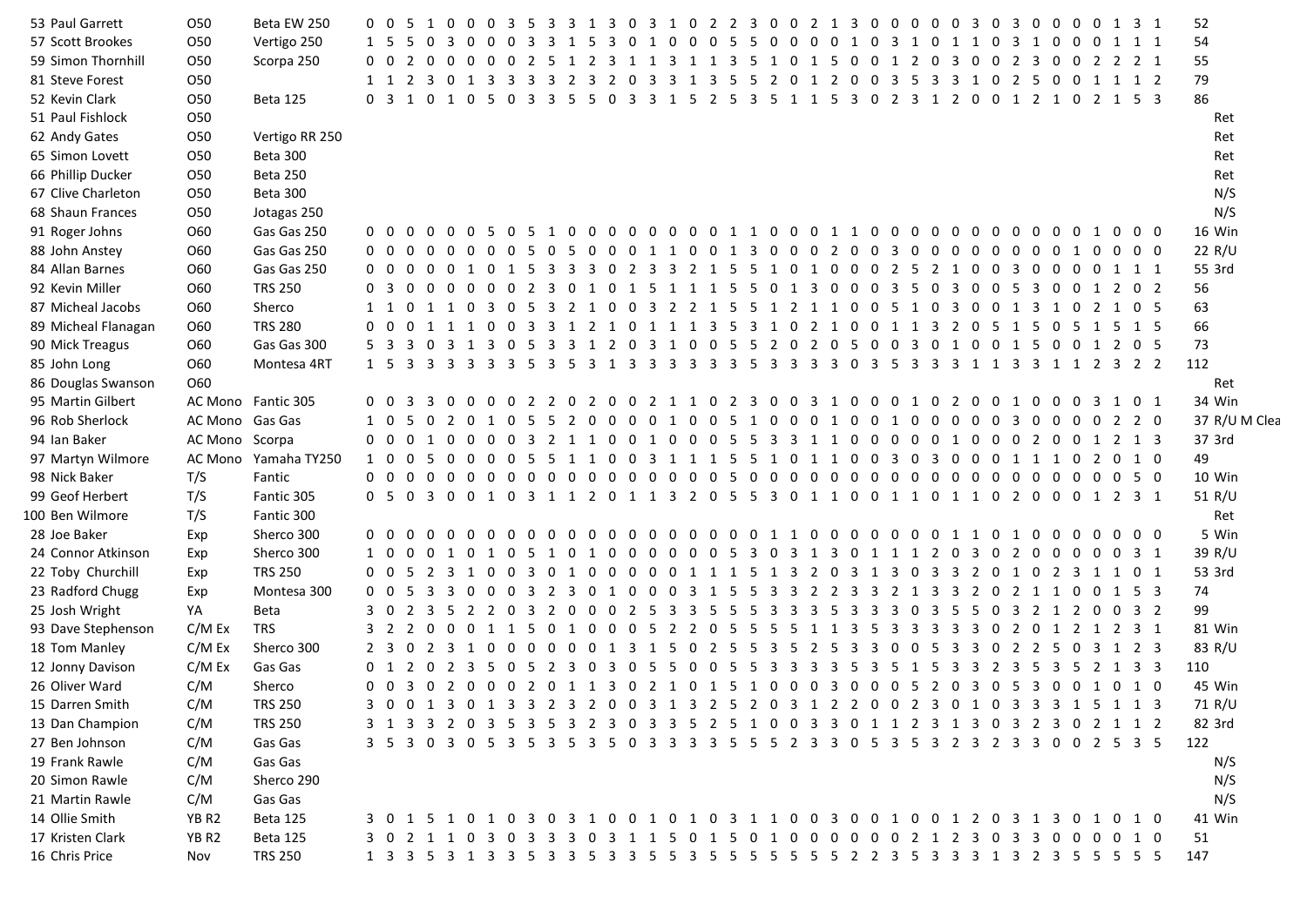| 53 Paul Garrett     | <b>O50</b>        | Beta EW 250          | 0 0 5               | 10              |                | $0\quad 0$     | - 3 | - 5                   | 3              | $\overline{\mathbf{3}}$ | 1                         | 3 | 0 <sub>3</sub> |    |                 | 1 0 2 2 3 0 0 2 1 3 0 0 0                         |                         |           |     |         |    |                         |                   |     | $0\quad 0$                                                                        | $\overline{\mathbf{3}}$ | $\overline{0}$ |    |     | 3 0 0 0 0 1 3 1     |  | 52            |
|---------------------|-------------------|----------------------|---------------------|-----------------|----------------|----------------|-----|-----------------------|----------------|-------------------------|---------------------------|---|----------------|----|-----------------|---------------------------------------------------|-------------------------|-----------|-----|---------|----|-------------------------|-------------------|-----|-----------------------------------------------------------------------------------|-------------------------|----------------|----|-----|---------------------|--|---------------|
| 57 Scott Brookes    | O50               | Vertigo 250          |                     |                 |                | - 0            |     |                       |                |                         |                           |   |                |    | 0               | -5                                                | 0                       | - 0       |     | 0       |    | 0                       | 3<br>1            | - 0 | 1                                                                                 |                         | - 0<br>- 3     | 10 | - 0 | 1 1 1               |  | 54            |
| 59 Simon Thornhill  | O50               | Scorpa 250           | $0 \quad 0 \quad 2$ | $0\quad 0$      |                | $0\quad 0$     |     | 0 2 5                 |                |                         |                           |   | 2 3 1 1 3      |    |                 | 1 1 3 5                                           |                         | 1 0 1 5 0 |     |         |    |                         | 0 1 2             |     | 0 <sub>3</sub>                                                                    | - 0                     | $\overline{0}$ |    |     | 2 3 0 0 2 2 2 1     |  | 55            |
| 81 Steve Forest     | O50               |                      |                     |                 |                |                |     |                       |                |                         |                           |   |                |    |                 |                                                   |                         |           |     |         |    |                         |                   |     | 1 1 2 3 0 1 3 3 3 3 2 3 2 0 3 3 1 3 5 5 2 0 1 2 0 0 3 5 3 3 1 0 2 5 0 0 1 1 1 2   |                         |                |    |     |                     |  | 79            |
| 52 Kevin Clark      | O50               | Beta 125             |                     |                 |                |                |     |                       |                |                         |                           |   |                |    |                 |                                                   |                         |           |     |         |    |                         |                   |     | 0 3 1 0 1 0 5 0 3 3 5 5 0 3 3 1 5 2 5 3 5 1 1 5 3 0 2 3 1 2 0 0 1 2 1 0 2 1 5 3   |                         |                |    |     |                     |  | 86            |
| 51 Paul Fishlock    | O50               |                      |                     |                 |                |                |     |                       |                |                         |                           |   |                |    |                 |                                                   |                         |           |     |         |    |                         |                   |     |                                                                                   |                         |                |    |     |                     |  | Ret           |
| 62 Andy Gates       | O50               | Vertigo RR 250       |                     |                 |                |                |     |                       |                |                         |                           |   |                |    |                 |                                                   |                         |           |     |         |    |                         |                   |     |                                                                                   |                         |                |    |     |                     |  | Ret           |
| 65 Simon Lovett     | O50               | <b>Beta 300</b>      |                     |                 |                |                |     |                       |                |                         |                           |   |                |    |                 |                                                   |                         |           |     |         |    |                         |                   |     |                                                                                   |                         |                |    |     |                     |  | Ret           |
| 66 Phillip Ducker   | <b>O50</b>        | Beta 250             |                     |                 |                |                |     |                       |                |                         |                           |   |                |    |                 |                                                   |                         |           |     |         |    |                         |                   |     |                                                                                   |                         |                |    |     |                     |  | Ret           |
| 67 Clive Charleton  | 050               | Beta 300             |                     |                 |                |                |     |                       |                |                         |                           |   |                |    |                 |                                                   |                         |           |     |         |    |                         |                   |     |                                                                                   |                         |                |    |     |                     |  | N/S           |
| 68 Shaun Frances    | O50               | Jotagas 250          |                     |                 |                |                |     |                       |                |                         |                           |   |                |    |                 |                                                   |                         |           |     |         |    |                         |                   |     |                                                                                   |                         |                |    |     |                     |  | N/S           |
| 91 Roger Johns      | O60               | Gas Gas 250          |                     |                 |                |                |     |                       |                |                         |                           |   |                |    |                 |                                                   |                         |           |     |         |    |                         |                   |     | 0 0 0 0 0 0 5 0 5 1 0 0 0 0 0 0 0 0 1 1 0 0 0 1 1 0 0 0 0 0 0 0 0 0 0 0 1 0 0 0   |                         |                |    |     |                     |  | 16 Win        |
| 88 John Anstey      | O60               | Gas Gas 250          |                     |                 |                |                |     | 0 0 0 0 0 0 0 0 5 0   |                |                         |                           |   |                |    |                 | 5 0 0 0 1 1 0 0 1 3 0 0 0 2 0                     |                         |           |     |         |    |                         | $0\quad 3\quad 0$ |     | 000000010000                                                                      |                         |                |    |     |                     |  | 22 R/U        |
| 84 Allan Barnes     | O60               | Gas Gas 250          |                     |                 |                |                |     |                       |                |                         |                           |   |                |    |                 | 0 0 0 0 0 1 0 1 5 3 3 3 0 2 3 3 2 1 5 5           |                         |           |     |         |    |                         |                   |     | 1 0 1 0 0 0 2 5 2 1 0 0 3 0 0 0 0 1 1 1                                           |                         |                |    |     |                     |  | 55 3rd        |
| 92 Kevin Miller     | O60               | <b>TRS 250</b>       | $0 \quad 3 \quad 0$ |                 |                |                |     |                       |                |                         |                           |   |                |    |                 | 0 0 0 0 0 2 3 0 1 0 1 5 1 1 1 5 5                 |                         |           |     |         |    |                         |                   |     | 0 1 3 0 0 0 3 5 0 3 0 0 5 3 0 0 1 2 0 2                                           |                         |                |    |     |                     |  | 56            |
| 87 Micheal Jacobs   | O60               | Sherco               |                     |                 |                |                |     |                       |                |                         |                           |   |                |    |                 |                                                   |                         |           |     |         |    |                         |                   |     | 1 1 0 1 1 0 3 0 5 3 2 1 0 0 3 2 2 1 5 5 1 2 1 1 0 0 5 1 0 3 0 0 1 3 1 0 2 1 0 5   |                         |                |    |     |                     |  | 63            |
| 89 Micheal Flanagan | O60               | <b>TRS 280</b>       |                     |                 |                |                |     |                       |                |                         |                           |   |                |    |                 |                                                   |                         |           |     |         |    |                         |                   |     | 0 0 0 1 1 1 0 0 3 3 1 2 1 0 1 1 1 3 5 3 1 0 2 1 0 0 1 1 3 2 0 5 1 5 0 5 1 5 1 5   |                         |                |    |     |                     |  | 66            |
| 90 Mick Treagus     | O60               | Gas Gas 300          |                     |                 |                |                |     |                       |                |                         |                           |   |                |    |                 |                                                   |                         |           |     |         |    |                         |                   |     | 5 3 3 0 3 1 3 0 5 3 3 1 2 0 3 1 0 0 5 5 2 0 2 0 5 0 0 3 0 1 0 0 1 5 0 0 1 2 0 5   |                         |                |    |     |                     |  | 73            |
| 85 John Long        | O60               | Montesa 4RT          |                     |                 |                |                |     |                       |                |                         |                           |   |                |    |                 |                                                   |                         |           |     |         |    |                         |                   |     |                                                                                   |                         |                |    |     |                     |  | 112           |
| 86 Douglas Swanson  | O60               |                      |                     |                 |                |                |     |                       |                |                         |                           |   |                |    |                 |                                                   |                         |           |     |         |    |                         |                   |     |                                                                                   |                         |                |    |     |                     |  | Ret           |
| 95 Martin Gilbert   |                   | AC Mono Fantic 305   |                     |                 |                |                |     |                       |                |                         | 0 0 3 3 0 0 0 0 2 2 0 2 0 |   |                |    |                 |                                                   |                         |           |     |         |    |                         |                   |     | 0 2 1 1 0 2 3 0 0 3 1 0 0 0 1 0 2 0 0 1 0 0 0 3 1 0 1                             |                         |                |    |     |                     |  | 34 Win        |
| 96 Rob Sherlock     | AC Mono Gas Gas   |                      | 1 0 5               |                 |                |                |     |                       |                |                         |                           |   |                |    |                 | 0 2 0 1 0 5 5 2 0 0 0 0 1 0 0 5 1 0 0 0 1 0 0 1 0 |                         |           |     |         |    |                         |                   |     | 0 0 0 0 3 0 0 0 0 2 2 0                                                           |                         |                |    |     |                     |  | 37 R/U M Clea |
| 94 Ian Baker        | AC Mono Scorpa    |                      |                     |                 |                |                |     |                       |                |                         |                           |   |                |    |                 |                                                   |                         |           |     |         |    |                         |                   |     | 0 0 0 1 0 0 0 0 3 2 1 1 0 0 1 0 0 0 5 5 3 3 1 1 0 0 0 0 0 1 0 0 0 2 0 0 1 2 1 3   |                         |                |    |     |                     |  | 37 3rd        |
| 97 Martyn Wilmore   |                   | AC Mono Yamaha TY250 |                     |                 |                |                |     |                       |                |                         |                           |   |                |    |                 |                                                   |                         |           |     |         |    |                         |                   |     | 1 0 0 5 0 0 0 0 5 5 1 1 0 0 3 1 1 1 5 5 1 0 1 1 0 0 3 0 3 0 0 0 1 1 1 0 2 0 1 0   |                         |                |    |     |                     |  | 49            |
| 98 Nick Baker       | T/S               | Fantic               |                     |                 |                |                |     |                       |                |                         |                           |   |                |    |                 |                                                   |                         |           |     |         |    |                         |                   |     | 0 0 0 0 0 0 0 0 0 0 0 0 0 0 0 0 0 5 0 0 0 0 0 0 0 0 0 0 0 0 0 0 0 0 0 0 5 0       |                         |                |    |     |                     |  | 10 Win        |
| 99 Geof Herbert     | T/S               | Fantic 305           |                     |                 |                |                |     |                       |                |                         |                           |   |                |    |                 |                                                   |                         |           |     |         |    |                         |                   |     | 0 5 0 3 0 0 1 0 3 1 1 2 0 1 1 3 2 0 5 5 3 0 1 1 0 0 1 1 0 1 1 0 2 0 0 0 1 2 3 1   |                         |                |    |     |                     |  | 51 R/U        |
| 100 Ben Wilmore     | T/S               | Fantic 300           |                     |                 |                |                |     |                       |                |                         |                           |   |                |    |                 |                                                   |                         |           |     |         |    |                         |                   |     |                                                                                   |                         |                |    |     |                     |  | Ret           |
| 28 Joe Baker        | Exp               | Sherco 300           | $0\quad 0\quad 0$   | $\Omega$        | $\overline{0}$ | $0\quad 0$     | - 0 | $\Omega$              | $\overline{0}$ |                         | $0\quad 0\quad 0$         |   |                |    | $0\,0\,0\,0\,0$ | 00110                                             |                         |           |     |         |    |                         |                   |     | 00000011010000000                                                                 |                         |                |    |     |                     |  | 5 Win         |
| 24 Connor Atkinson  | Exp               | Sherco 300           | 1 0 0               |                 |                |                |     | 0 1 0 1 0 5           |                |                         |                           |   |                |    |                 |                                                   |                         |           |     |         |    |                         |                   |     | 1 0 1 0 0 0 0 0 0 5 3 0 3 1 3 0 1 1 1 2 0 3 0 2 0 0 0 0 0 3 1                     |                         |                |    |     |                     |  | 39 R/U        |
| 22 Toby Churchill   | Exp               | <b>TRS 250</b>       |                     |                 |                |                |     | 0 0 5 2 3 1 0 0 3 0   |                |                         |                           |   |                |    |                 | 1000001115                                        | $\mathbf{1}$            |           |     | 3 2 0 3 |    | 1                       | 3<br>- 0          |     | 3 3                                                                               |                         |                |    |     | 2 0 1 0 2 3 1 1 0 1 |  | 53 3rd        |
| 23 Radford Chugg    | Exp               | Montesa 300          |                     |                 |                |                |     | 0 0 5 3 3 0 0 0 3 2 3 |                |                         |                           |   |                |    |                 | 0 1 0 0 0 3 1 5 5                                 | $\overline{\mathbf{3}}$ |           |     | 3 2 2 3 |    | $\overline{\mathbf{3}}$ | 2                 | 1 3 | - 3                                                                               |                         |                |    |     | 2 0 2 1 1 0 0 1 5 3 |  | 74            |
| 25 Josh Wright      | YA                | Beta                 | 30                  |                 |                |                |     |                       |                |                         |                           |   |                |    |                 | 2 3 5 2 2 0 3 2 0 0 0 2 5 3 3 5 5 5               | $\overline{\mathbf{3}}$ |           | 3 3 | - 5     | -3 | -3                      | 3                 |     | 3 5                                                                               |                         |                |    |     | 5 0 3 2 1 2 0 0 3 2 |  | 99            |
| 93 Dave Stephenson  | C/M Ex            | <b>TRS</b>           |                     |                 |                |                |     |                       |                |                         |                           |   |                |    |                 | 3 2 2 0 0 0 1 1 5 0 1 0 0 0 5 2 2 0 5 5           | - 5                     | - 5       | 1   | 1 3     |    | -5                      | 3 3               |     | 33                                                                                | $\overline{3}$          |                |    |     | 0 2 0 1 2 1 2 3 1   |  | 81 Win        |
| 18 Tom Manley       | C/M Ex            | Sherco 300           |                     | 2 3 0 2 3 1 0 0 |                |                |     |                       |                |                         |                           |   |                |    |                 | 0 0 0 0 1 3 1 5 0 2 5 5                           | $\overline{\mathbf{3}}$ | -5        | 2   | -5      | 3  | 3                       | $\Omega$<br>0     | -5  | - 3                                                                               | $\overline{\mathbf{3}}$ |                |    |     | 0 2 2 5 0 3 1 2 3   |  | 83 R/U        |
| 12 Jonny Davison    | C/M Ex            | Gas Gas              |                     |                 |                |                |     |                       |                |                         |                           |   |                |    |                 | 0 1 2 0 2 3 5 0 5 2 3 0 3 0 5 5 0 0 5 5           |                         | 3 3 3 3 5 |     |         |    |                         |                   |     | 3 5 1 5 3 3 2 3 5 3 5 2 1 3 3                                                     |                         |                |    |     |                     |  | 110           |
| 26 Oliver Ward      | C/M               | Sherco               |                     |                 |                |                |     |                       |                |                         |                           |   |                |    |                 |                                                   |                         |           |     |         |    |                         |                   |     | 0 0 3 0 2 0 0 0 2 0 1 1 3 0 2 1 0 1 5 1 0 0 0 3 0 0 0 5 2 0 3 0 5 3 0 0 1 0 1 0   |                         |                |    |     |                     |  | 45 Win        |
| 15 Darren Smith     | C/M               | <b>TRS 250</b>       |                     |                 |                |                |     |                       |                |                         |                           |   |                |    |                 |                                                   |                         |           |     |         |    |                         |                   |     | 3 0 0 1 3 0 1 3 3 2 3 2 0 0 3 1 3 2 5 2 0 3 1 2 2 0 0 2 3 0 1 0 3 3 3 1 5 1 1 3   |                         |                |    |     |                     |  | 71 R/U        |
| 13 Dan Champion     | C/M               | <b>TRS 250</b>       |                     |                 |                | 0 <sub>3</sub> |     | 3                     | -5             | -3                      | 2                         |   | 0 <sub>3</sub> | -3 |                 |                                                   |                         |           |     |         |    |                         |                   |     | 5 2 5 1 0 0 3 3 0 1 1 2 3 1 3 0 3 2 3 0 2 1 1 2                                   |                         |                |    |     |                     |  | 82 3rd        |
| 27 Ben Johnson      | C/M               | Gas Gas              | 35                  | 0 <sub>3</sub>  |                | 0 5            |     |                       | -3             |                         | -3                        |   | 0 <sub>3</sub> | -3 | -3              | 55                                                |                         | 5 2 3     |     | 30      |    |                         | 535               |     | 3 2 3 2 3 3 0 0 2 5 3 5                                                           |                         |                |    |     |                     |  | 122           |
| 19 Frank Rawle      | C/M               | Gas Gas              |                     |                 |                |                |     |                       |                |                         |                           |   |                |    |                 |                                                   |                         |           |     |         |    |                         |                   |     |                                                                                   |                         |                |    |     |                     |  | N/S           |
| 20 Simon Rawle      | C/M               | Sherco 290           |                     |                 |                |                |     |                       |                |                         |                           |   |                |    |                 |                                                   |                         |           |     |         |    |                         |                   |     |                                                                                   |                         |                |    |     |                     |  | N/S           |
| 21 Martin Rawle     | C/M               | Gas Gas              |                     |                 |                |                |     |                       |                |                         |                           |   |                |    |                 |                                                   |                         |           |     |         |    |                         |                   |     |                                                                                   |                         |                |    |     |                     |  | N/S           |
| 14 Ollie Smith      | YB R <sub>2</sub> | Beta 125             |                     |                 |                |                |     |                       |                |                         |                           |   |                |    |                 |                                                   |                         |           |     |         |    |                         |                   |     | 3 0 1 5 1 0 1 0 3 0 3 1 0 0 1 0 1 0 3 1 1 0 0 3 0 0 1 0 0 1 2 0 3 1 3 0 1 0 1 0   |                         |                |    |     |                     |  | 41 Win        |
| 17 Kristen Clark    | YB R <sub>2</sub> | <b>Beta 125</b>      |                     |                 |                |                |     |                       |                |                         |                           |   |                |    |                 |                                                   |                         |           |     |         |    |                         |                   |     | 3 0 2 1 1 0 3 0 3 3 3 0 3 1 1 5 0 1 5 0 1 0 0 0 0 0 0 0 2 1 2 3 0 3 3 0 0 0 0 1 0 |                         |                |    |     |                     |  | 51            |
| 16 Chris Price      | Nov               | <b>TRS 250</b>       |                     |                 |                |                |     |                       |                |                         |                           |   |                |    |                 |                                                   |                         |           |     |         |    |                         |                   |     | 1 3 3 5 3 1 3 3 5 3 3 5 3 3 5 5 5 6 5 6 5 6 5 6 7 2 3 5 3 3 3 4 3 2 3 5 5 5 5 5   |                         |                |    |     |                     |  | 147           |